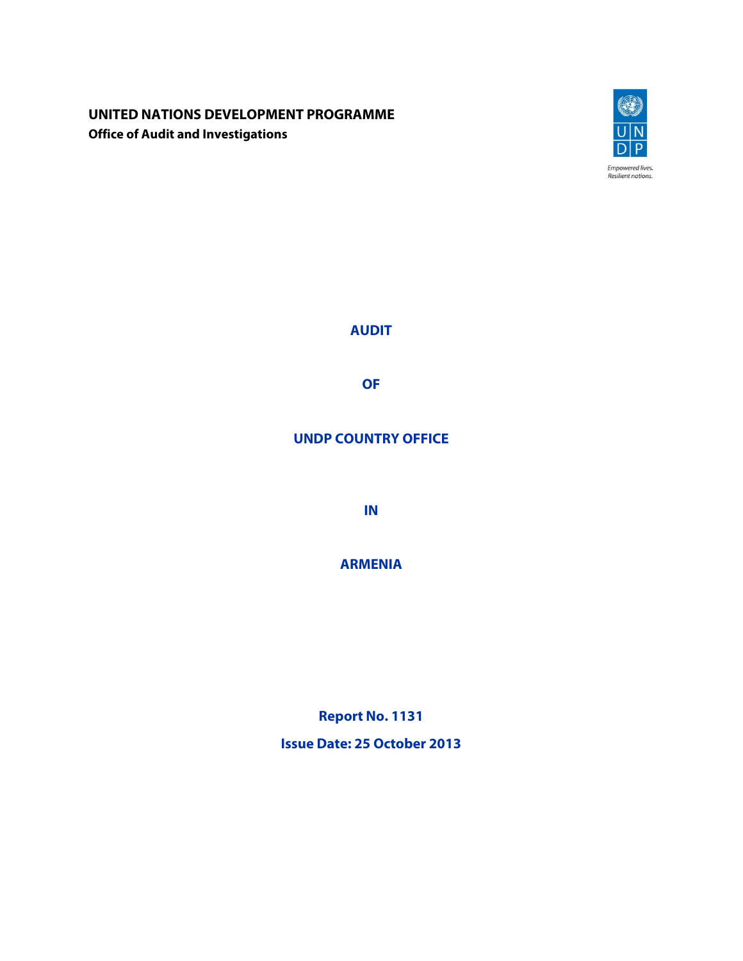# **UNITED NATIONS DEVELOPMENT PROGRAMME Office of Audit and Investigations**



**AUDIT** 

**OF** 

# **UNDP COUNTRY OFFICE**

**IN** 

**ARMENIA**

**Report No. 1131 Issue Date: 25 October 2013**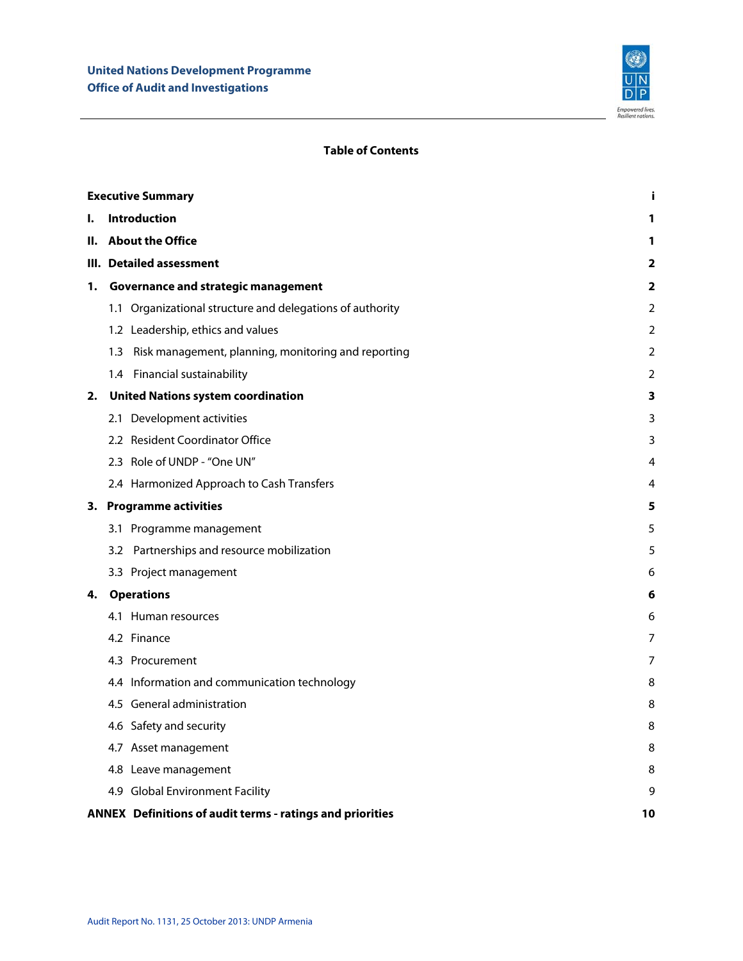

# **Table of Contents**

|    | <b>Executive Summary</b><br>i |                                                           |    |  |  |
|----|-------------------------------|-----------------------------------------------------------|----|--|--|
| ı. |                               | <b>Introduction</b>                                       | 1  |  |  |
| н. |                               | <b>About the Office</b>                                   | 1  |  |  |
|    |                               | III. Detailed assessment                                  |    |  |  |
| 1. |                               | Governance and strategic management                       | 2  |  |  |
|    |                               | 1.1 Organizational structure and delegations of authority | 2  |  |  |
|    |                               | 1.2 Leadership, ethics and values                         | 2  |  |  |
|    | 1.3                           | Risk management, planning, monitoring and reporting       | 2  |  |  |
|    |                               | 1.4 Financial sustainability                              | 2  |  |  |
| 2. |                               | <b>United Nations system coordination</b>                 | 3  |  |  |
|    |                               | 2.1 Development activities                                | 3  |  |  |
|    |                               | 2.2 Resident Coordinator Office                           | 3  |  |  |
|    |                               | 2.3 Role of UNDP - "One UN"                               | 4  |  |  |
|    |                               | 2.4 Harmonized Approach to Cash Transfers                 | 4  |  |  |
|    |                               | 3. Programme activities                                   | 5  |  |  |
|    |                               | 3.1 Programme management                                  | 5  |  |  |
|    |                               | 3.2 Partnerships and resource mobilization                | 5  |  |  |
|    |                               | 3.3 Project management                                    | 6  |  |  |
| 4. |                               | <b>Operations</b>                                         | 6  |  |  |
|    |                               | 4.1 Human resources                                       | 6  |  |  |
|    |                               | 4.2 Finance                                               | 7  |  |  |
|    |                               | 4.3 Procurement                                           | 7  |  |  |
|    |                               | 4.4 Information and communication technology              | 8  |  |  |
|    |                               | 4.5 General administration                                | 8  |  |  |
|    |                               | 4.6 Safety and security                                   | 8  |  |  |
|    |                               | 4.7 Asset management                                      | 8  |  |  |
|    |                               | 4.8 Leave management                                      | 8  |  |  |
|    |                               | 4.9 Global Environment Facility                           | 9  |  |  |
|    |                               | ANNEX Definitions of audit terms - ratings and priorities | 10 |  |  |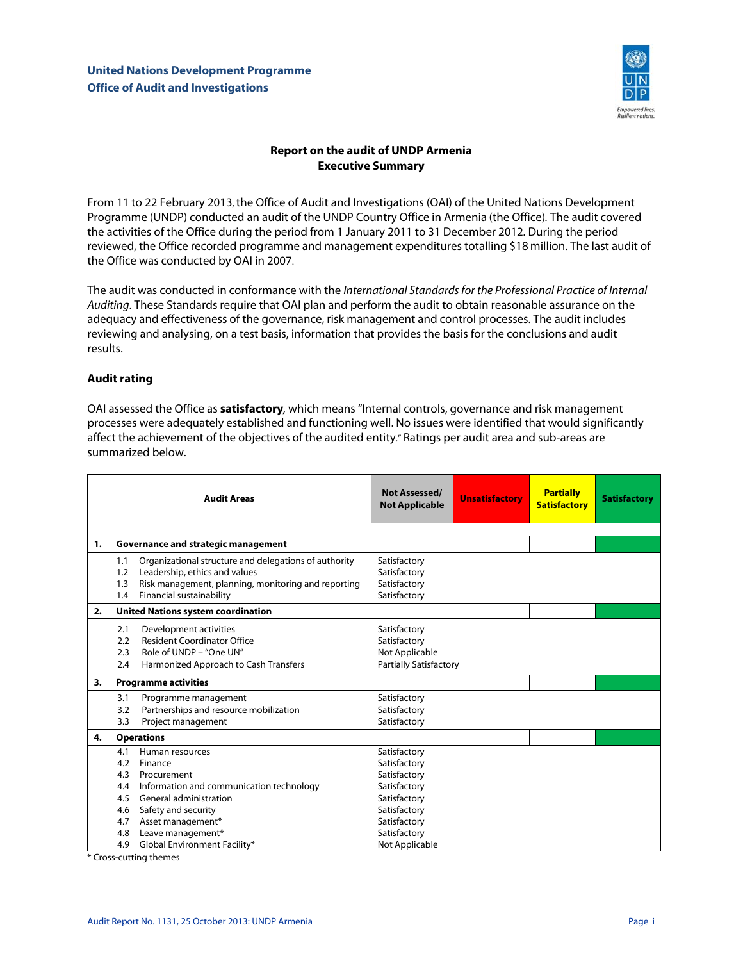

# **Report on the audit of UNDP Armenia Executive Summary**

From 11 to 22 February 2013, the Office of Audit and Investigations (OAI) of the United Nations Development Programme (UNDP) conducted an audit of the UNDP Country Office in Armenia (the Office). The audit covered the activities of the Office during the period from 1 January 2011 to 31 December 2012. During the period reviewed, the Office recorded programme and management expenditures totalling \$18 million. The last audit of the Office was conducted by OAI in 2007.

The audit was conducted in conformance with the International Standards for the Professional Practice of Internal Auditing. These Standards require that OAI plan and perform the audit to obtain reasonable assurance on the adequacy and effectiveness of the governance, risk management and control processes. The audit includes reviewing and analysing, on a test basis, information that provides the basis for the conclusions and audit results.

# **Audit rating**

OAI assessed the Office as **satisfactory**, which means "Internal controls, governance and risk management processes were adequately established and functioning well. No issues were identified that would significantly affect the achievement of the objectives of the audited entity." Ratings per audit area and sub-areas are summarized below.

| <b>Audit Areas</b> |     |                                                       | Not Assessed/<br><b>Not Applicable</b> | <b>Unsatisfactory</b> | <b>Partially</b><br><b>Satisfactory</b> | <b>Satisfactory</b> |
|--------------------|-----|-------------------------------------------------------|----------------------------------------|-----------------------|-----------------------------------------|---------------------|
|                    |     |                                                       |                                        |                       |                                         |                     |
| 1.                 |     | Governance and strategic management                   |                                        |                       |                                         |                     |
|                    | 1.1 | Organizational structure and delegations of authority | Satisfactory                           |                       |                                         |                     |
|                    | 1.2 | Leadership, ethics and values                         | Satisfactory                           |                       |                                         |                     |
|                    | 1.3 | Risk management, planning, monitoring and reporting   | Satisfactory                           |                       |                                         |                     |
|                    | 1.4 | Financial sustainability                              | Satisfactory                           |                       |                                         |                     |
| 2.                 |     | <b>United Nations system coordination</b>             |                                        |                       |                                         |                     |
|                    | 2.1 | Development activities                                | Satisfactory                           |                       |                                         |                     |
|                    | 2.2 | <b>Resident Coordinator Office</b>                    | Satisfactory                           |                       |                                         |                     |
|                    | 2.3 | Role of UNDP - "One UN"                               | Not Applicable                         |                       |                                         |                     |
|                    | 2.4 | Harmonized Approach to Cash Transfers                 | <b>Partially Satisfactory</b>          |                       |                                         |                     |
| 3.                 |     | <b>Programme activities</b>                           |                                        |                       |                                         |                     |
|                    | 3.1 | Programme management                                  | Satisfactory                           |                       |                                         |                     |
|                    | 3.2 | Partnerships and resource mobilization                | Satisfactory                           |                       |                                         |                     |
|                    | 3.3 | Project management                                    | Satisfactory                           |                       |                                         |                     |
| 4.                 |     | <b>Operations</b>                                     |                                        |                       |                                         |                     |
|                    | 4.1 | Human resources                                       | Satisfactory                           |                       |                                         |                     |
|                    | 4.2 | Finance                                               | Satisfactory                           |                       |                                         |                     |
|                    | 4.3 | Procurement                                           | Satisfactory                           |                       |                                         |                     |
|                    | 4.4 | Information and communication technology              | Satisfactory                           |                       |                                         |                     |
|                    | 4.5 | General administration                                | Satisfactory                           |                       |                                         |                     |
|                    | 4.6 | Safety and security                                   | Satisfactory                           |                       |                                         |                     |
|                    | 4.7 | Asset management*                                     | Satisfactory                           |                       |                                         |                     |
|                    | 4.8 | Leave management*                                     | Satisfactory                           |                       |                                         |                     |
|                    | 4.9 | Global Environment Facility*                          | Not Applicable                         |                       |                                         |                     |

\* Cross-cutting themes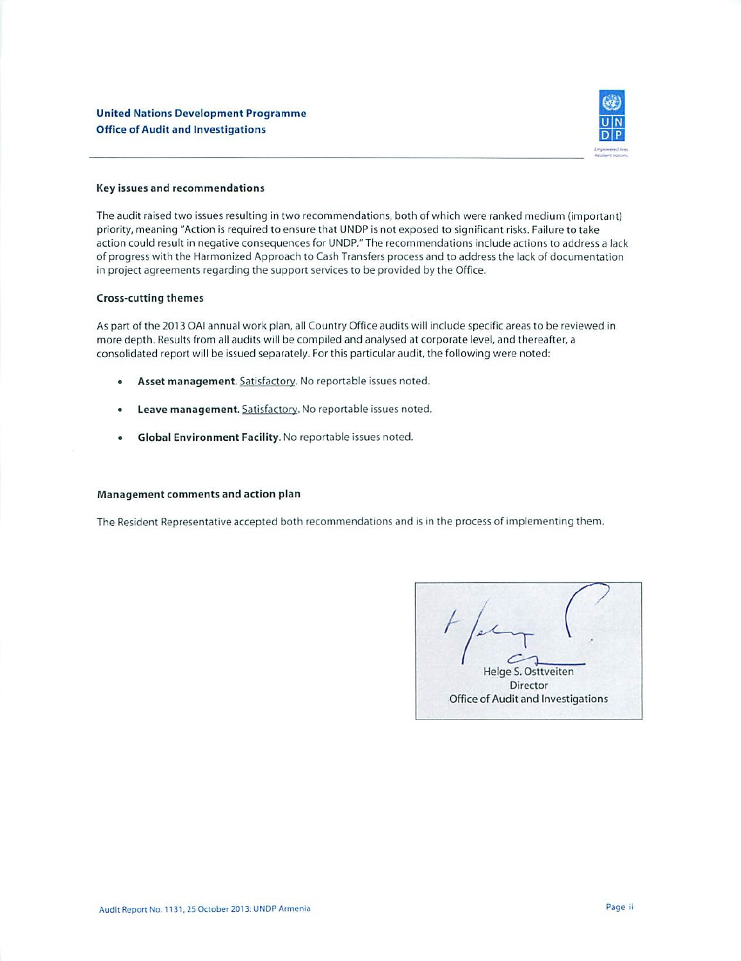

#### Key issues and recommendations

The audit raised two issues resulting in two recommendations, both of which were ranked medium (important) priority, meaning "Action is required to ensure that UNDP is not exposed to significant risks. Failure to take action could result in negative consequences for UNDP." The recommendations include actions to address a lack of progress with the Harmonized Approach to Cash Transfers process and to address the lack of documentation in project agreements regarding the support services to be provided by the Office.

#### **Cross-cutting themes**

As part of the 2013 OAI annual work plan, all Country Office audits will include specific areas to be reviewed in more depth. Results from all audits will be compiled and analysed at corporate level, and thereafter, a consolidated report will be issued separately. For this particular audit, the following were noted:

- Asset management. Satisfactory. No reportable issues noted.
- Leave management. Satisfactory. No reportable issues noted.
- Global Environment Facility. No reportable issues noted.  $\bullet$

#### Management comments and action plan

The Resident Representative accepted both recommendations and is in the process of implementing them.

Helge S. Osttveiten Director Office of Audit and Investigations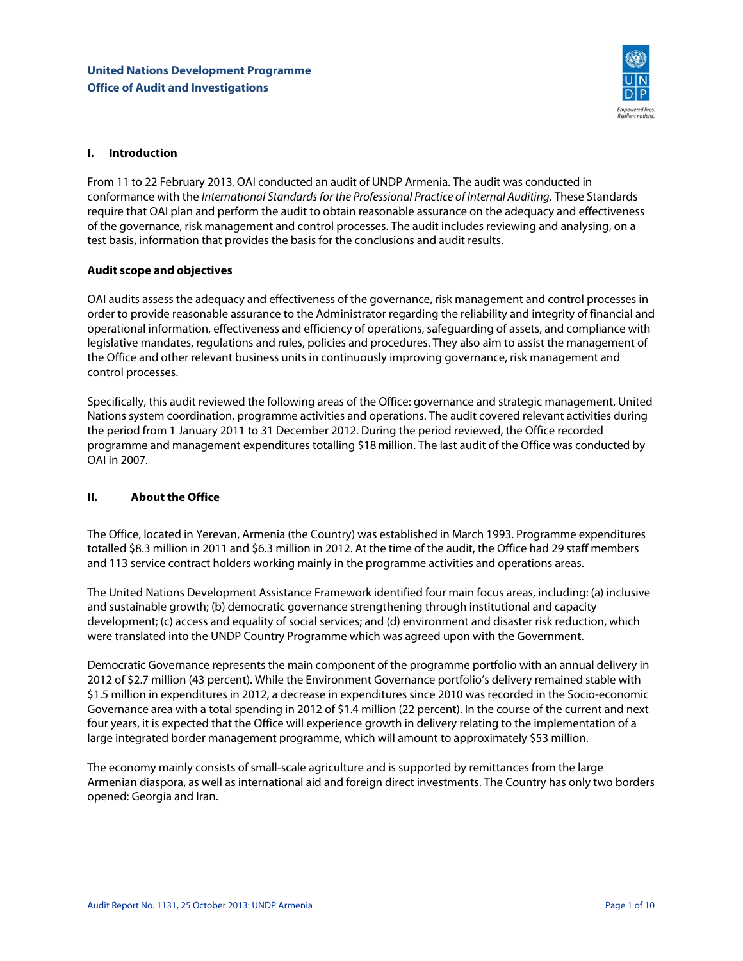

# **I. Introduction**

From 11 to 22 February 2013, OAI conducted an audit of UNDP Armenia. The audit was conducted in conformance with the International Standards for the Professional Practice of Internal Auditing. These Standards require that OAI plan and perform the audit to obtain reasonable assurance on the adequacy and effectiveness of the governance, risk management and control processes. The audit includes reviewing and analysing, on a test basis, information that provides the basis for the conclusions and audit results.

# **Audit scope and objectives**

OAI audits assess the adequacy and effectiveness of the governance, risk management and control processes in order to provide reasonable assurance to the Administrator regarding the reliability and integrity of financial and operational information, effectiveness and efficiency of operations, safeguarding of assets, and compliance with legislative mandates, regulations and rules, policies and procedures. They also aim to assist the management of the Office and other relevant business units in continuously improving governance, risk management and control processes.

Specifically, this audit reviewed the following areas of the Office: governance and strategic management, United Nations system coordination, programme activities and operations. The audit covered relevant activities during the period from 1 January 2011 to 31 December 2012. During the period reviewed, the Office recorded programme and management expenditures totalling \$18 million. The last audit of the Office was conducted by OAI in 2007.

# **II. About the Office**

The Office, located in Yerevan, Armenia (the Country) was established in March 1993. Programme expenditures totalled \$8.3 million in 2011 and \$6.3 million in 2012. At the time of the audit, the Office had 29 staff members and 113 service contract holders working mainly in the programme activities and operations areas.

The United Nations Development Assistance Framework identified four main focus areas, including: (a) inclusive and sustainable growth; (b) democratic governance strengthening through institutional and capacity development; (c) access and equality of social services; and (d) environment and disaster risk reduction, which were translated into the UNDP Country Programme which was agreed upon with the Government.

Democratic Governance represents the main component of the programme portfolio with an annual delivery in 2012 of \$2.7 million (43 percent). While the Environment Governance portfolio's delivery remained stable with \$1.5 million in expenditures in 2012, a decrease in expenditures since 2010 was recorded in the Socio-economic Governance area with a total spending in 2012 of \$1.4 million (22 percent). In the course of the current and next four years, it is expected that the Office will experience growth in delivery relating to the implementation of a large integrated border management programme, which will amount to approximately \$53 million.

The economy mainly consists of small-scale agriculture and is supported by remittances from the large Armenian diaspora, as well as international aid and foreign direct investments. The Country has only two borders opened: Georgia and Iran.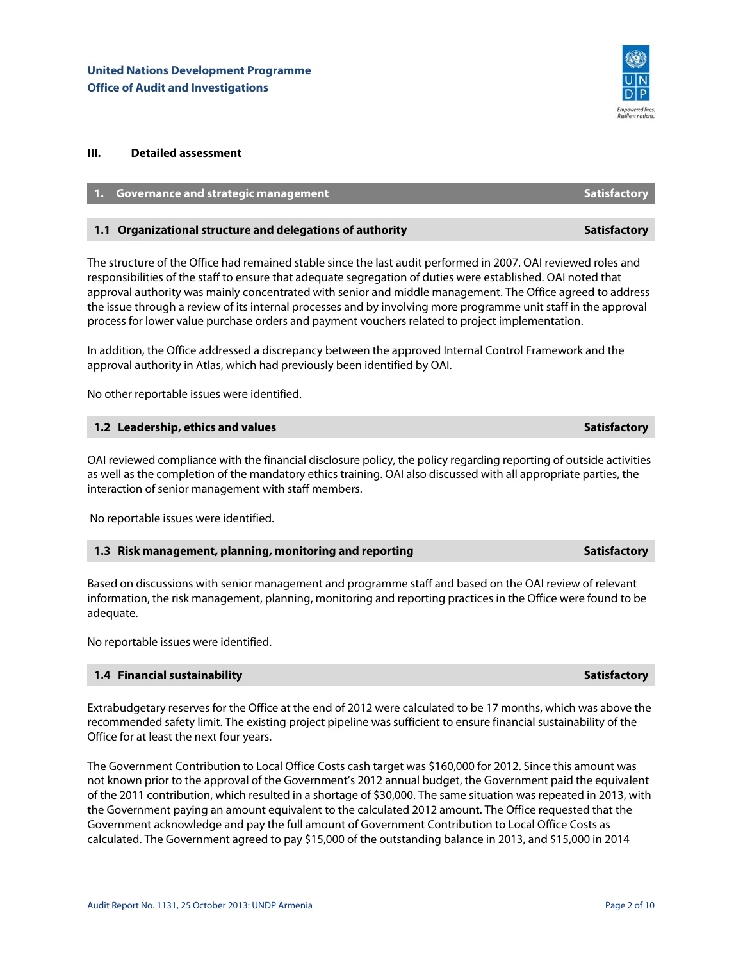

# **III. Detailed assessment**

# **1. Governance and strategic management Satisfactory** Satisfactory

### **1.1 Organizational structure and delegations of authority Satisfactory Satisfactory Research Authority** Satisfactory

The structure of the Office had remained stable since the last audit performed in 2007. OAI reviewed roles and responsibilities of the staff to ensure that adequate segregation of duties were established. OAI noted that approval authority was mainly concentrated with senior and middle management. The Office agreed to address the issue through a review of its internal processes and by involving more programme unit staff in the approval process for lower value purchase orders and payment vouchers related to project implementation.

In addition, the Office addressed a discrepancy between the approved Internal Control Framework and the approval authority in Atlas, which had previously been identified by OAI.

No other reportable issues were identified.

### **1.2 Leadership, ethics and values Satisfactory** Satisfactory

OAI reviewed compliance with the financial disclosure policy, the policy regarding reporting of outside activities as well as the completion of the mandatory ethics training. OAI also discussed with all appropriate parties, the interaction of senior management with staff members.

No reportable issues were identified.

#### **1.3 Risk management, planning, monitoring and reporting Satisfactory Satisfactory**

Based on discussions with senior management and programme staff and based on the OAI review of relevant information, the risk management, planning, monitoring and reporting practices in the Office were found to be adequate.

No reportable issues were identified.

### **1.4 Financial sustainability Satisfactory** Satisfactory

Extrabudgetary reserves for the Office at the end of 2012 were calculated to be 17 months, which was above the recommended safety limit. The existing project pipeline was sufficient to ensure financial sustainability of the Office for at least the next four years.

The Government Contribution to Local Office Costs cash target was \$160,000 for 2012. Since this amount was not known prior to the approval of the Government's 2012 annual budget, the Government paid the equivalent of the 2011 contribution, which resulted in a shortage of \$30,000. The same situation was repeated in 2013, with the Government paying an amount equivalent to the calculated 2012 amount. The Office requested that the Government acknowledge and pay the full amount of Government Contribution to Local Office Costs as calculated. The Government agreed to pay \$15,000 of the outstanding balance in 2013, and \$15,000 in 2014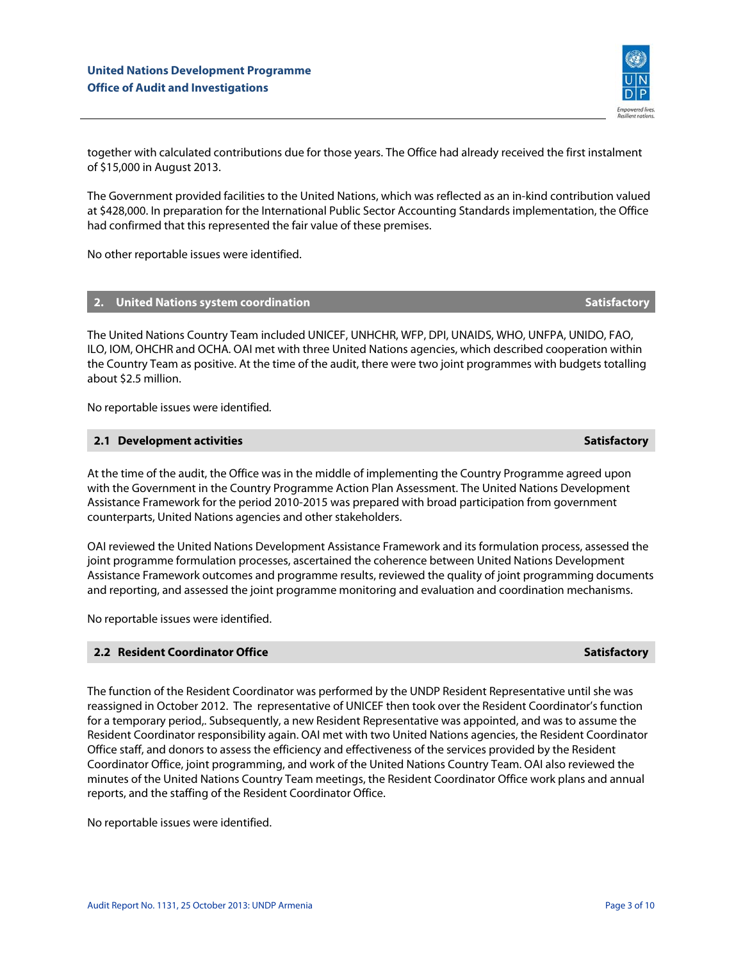together with calculated contributions due for those years. The Office had already received the first instalment of \$15,000 in August 2013.

The Government provided facilities to the United Nations, which was reflected as an in-kind contribution valued at \$428,000. In preparation for the International Public Sector Accounting Standards implementation, the Office had confirmed that this represented the fair value of these premises.

No other reportable issues were identified.

# **2. United Nations system coordination Satisfactory** Satisfactory

The United Nations Country Team included UNICEF, UNHCHR, WFP, DPI, UNAIDS, WHO, UNFPA, UNIDO, FAO, ILO, IOM, OHCHR and OCHA. OAI met with three United Nations agencies, which described cooperation within the Country Team as positive. At the time of the audit, there were two joint programmes with budgets totalling about \$2.5 million.

No reportable issues were identified.

#### **2.1 Development activities Satisfactory** Satisfactory

At the time of the audit, the Office was in the middle of implementing the Country Programme agreed upon with the Government in the Country Programme Action Plan Assessment. The United Nations Development Assistance Framework for the period 2010-2015 was prepared with broad participation from government counterparts, United Nations agencies and other stakeholders.

OAI reviewed the United Nations Development Assistance Framework and its formulation process, assessed the joint programme formulation processes, ascertained the coherence between United Nations Development Assistance Framework outcomes and programme results, reviewed the quality of joint programming documents and reporting, and assessed the joint programme monitoring and evaluation and coordination mechanisms.

No reportable issues were identified.

# **2.2 Resident Coordinator Office Satisfactory** Satisfactory

The function of the Resident Coordinator was performed by the UNDP Resident Representative until she was reassigned in October 2012. The representative of UNICEF then took over the Resident Coordinator's function for a temporary period,. Subsequently, a new Resident Representative was appointed, and was to assume the Resident Coordinator responsibility again. OAI met with two United Nations agencies, the Resident Coordinator Office staff, and donors to assess the efficiency and effectiveness of the services provided by the Resident Coordinator Office, joint programming, and work of the United Nations Country Team. OAI also reviewed the minutes of the United Nations Country Team meetings, the Resident Coordinator Office work plans and annual reports, and the staffing of the Resident Coordinator Office.

No reportable issues were identified.

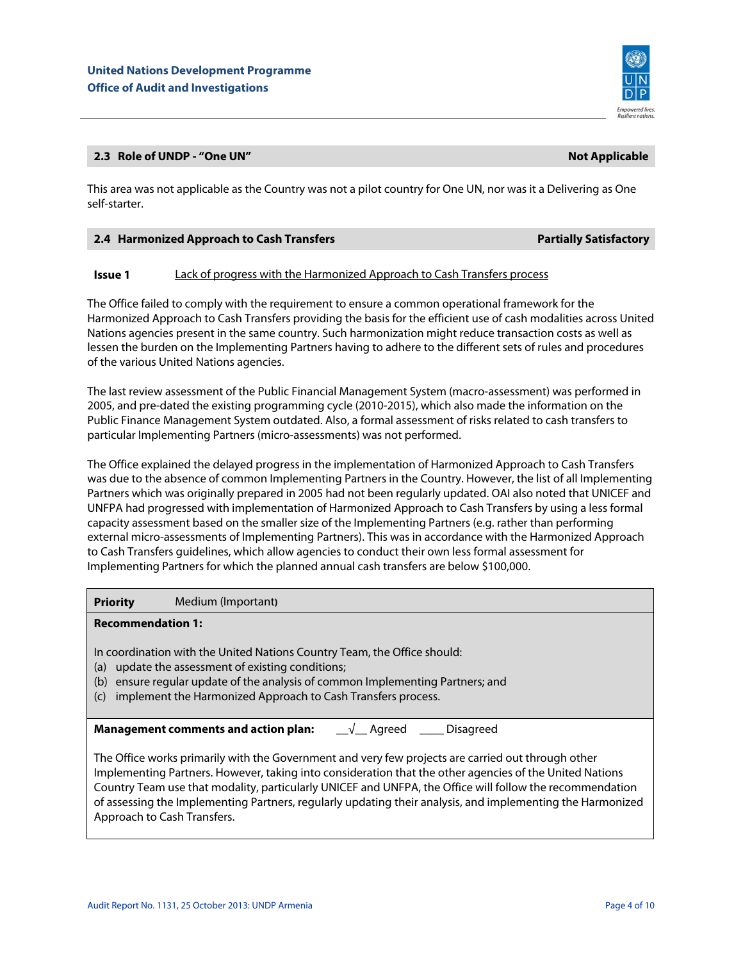

# **2.3 Role of UNDP - "One UN"** Not Applicable and the UNITED STATES of the UNITED STATES AND INTENSION OF A PPICE A

This area was not applicable as the Country was not a pilot country for One UN, nor was it a Delivering as One self-starter.

| <b>Partially Satisfactory</b> |
|-------------------------------|
|                               |

# **Issue 1** Lack of progress with the Harmonized Approach to Cash Transfers process

The Office failed to comply with the requirement to ensure a common operational framework for the Harmonized Approach to Cash Transfers providing the basis for the efficient use of cash modalities across United Nations agencies present in the same country. Such harmonization might reduce transaction costs as well as lessen the burden on the Implementing Partners having to adhere to the different sets of rules and procedures of the various United Nations agencies.

The last review assessment of the Public Financial Management System (macro-assessment) was performed in 2005, and pre-dated the existing programming cycle (2010-2015), which also made the information on the Public Finance Management System outdated. Also, a formal assessment of risks related to cash transfers to particular Implementing Partners (micro-assessments) was not performed.

The Office explained the delayed progress in the implementation of Harmonized Approach to Cash Transfers was due to the absence of common Implementing Partners in the Country. However, the list of all Implementing Partners which was originally prepared in 2005 had not been regularly updated. OAI also noted that UNICEF and UNFPA had progressed with implementation of Harmonized Approach to Cash Transfers by using a less formal capacity assessment based on the smaller size of the Implementing Partners (e.g. rather than performing external micro-assessments of Implementing Partners). This was in accordance with the Harmonized Approach to Cash Transfers guidelines, which allow agencies to conduct their own less formal assessment for Implementing Partners for which the planned annual cash transfers are below \$100,000.

**Priority** Medium (Important**)**

# **Recommendation 1:**

In coordination with the United Nations Country Team, the Office should:

- (a) update the assessment of existing conditions;
- (b) ensure regular update of the analysis of common Implementing Partners; and
- (c) implement the Harmonized Approach to Cash Transfers process.

**Management comments and action plan:** \_\_√\_\_ Agreed \_\_\_\_\_ Disagreed

The Office works primarily with the Government and very few projects are carried out through other Implementing Partners. However, taking into consideration that the other agencies of the United Nations Country Team use that modality, particularly UNICEF and UNFPA, the Office will follow the recommendation of assessing the Implementing Partners, regularly updating their analysis, and implementing the Harmonized Approach to Cash Transfers.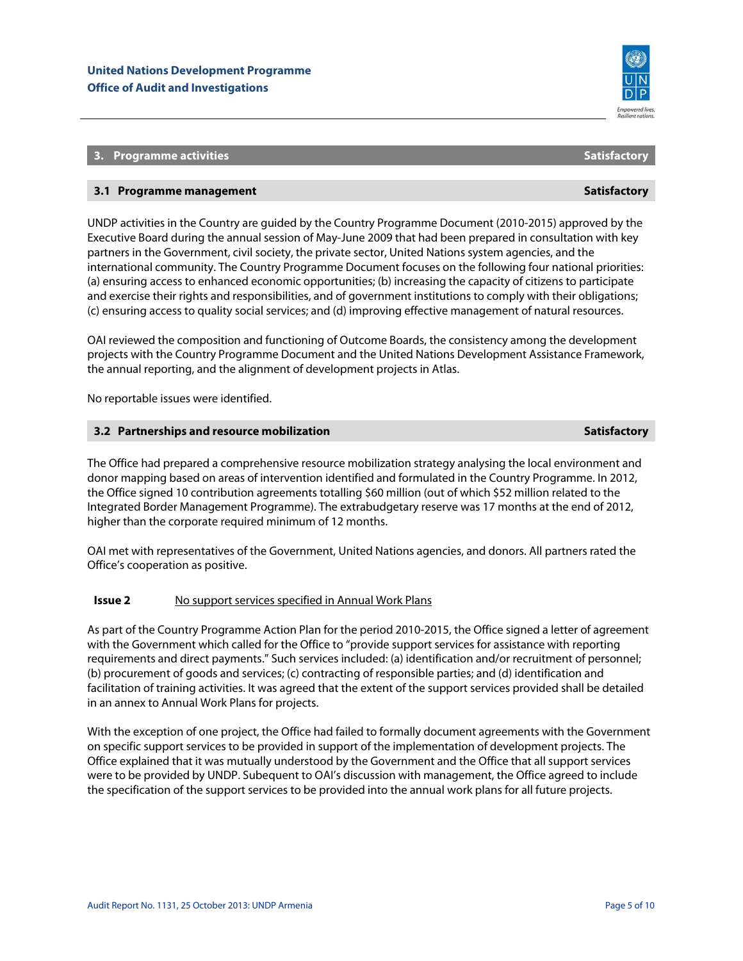

# **3. Programme activities Satisfactory** Satisfactory Satisfactory

# **3.1 Programme management Satisfactory Satisfactory**

UNDP activities in the Country are guided by the Country Programme Document (2010-2015) approved by the Executive Board during the annual session of May-June 2009 that had been prepared in consultation with key partners in the Government, civil society, the private sector, United Nations system agencies, and the international community. The Country Programme Document focuses on the following four national priorities: (a) ensuring access to enhanced economic opportunities; (b) increasing the capacity of citizens to participate and exercise their rights and responsibilities, and of government institutions to comply with their obligations; (c) ensuring access to quality social services; and (d) improving effective management of natural resources.

OAI reviewed the composition and functioning of Outcome Boards, the consistency among the development projects with the Country Programme Document and the United Nations Development Assistance Framework, the annual reporting, and the alignment of development projects in Atlas.

No reportable issues were identified.

### **3.2 Partnerships and resource mobilization Satisfactory** Satisfactory

The Office had prepared a comprehensive resource mobilization strategy analysing the local environment and donor mapping based on areas of intervention identified and formulated in the Country Programme. In 2012, the Office signed 10 contribution agreements totalling \$60 million (out of which \$52 million related to the Integrated Border Management Programme). The extrabudgetary reserve was 17 months at the end of 2012, higher than the corporate required minimum of 12 months.

OAI met with representatives of the Government, United Nations agencies, and donors. All partners rated the Office's cooperation as positive.

### **Issue 2** No support services specified in Annual Work Plans

As part of the Country Programme Action Plan for the period 2010-2015, the Office signed a letter of agreement with the Government which called for the Office to "provide support services for assistance with reporting requirements and direct payments." Such services included: (a) identification and/or recruitment of personnel; (b) procurement of goods and services; (c) contracting of responsible parties; and (d) identification and facilitation of training activities. It was agreed that the extent of the support services provided shall be detailed in an annex to Annual Work Plans for projects.

With the exception of one project, the Office had failed to formally document agreements with the Government on specific support services to be provided in support of the implementation of development projects. The Office explained that it was mutually understood by the Government and the Office that all support services were to be provided by UNDP. Subequent to OAI's discussion with management, the Office agreed to include the specification of the support services to be provided into the annual work plans for all future projects.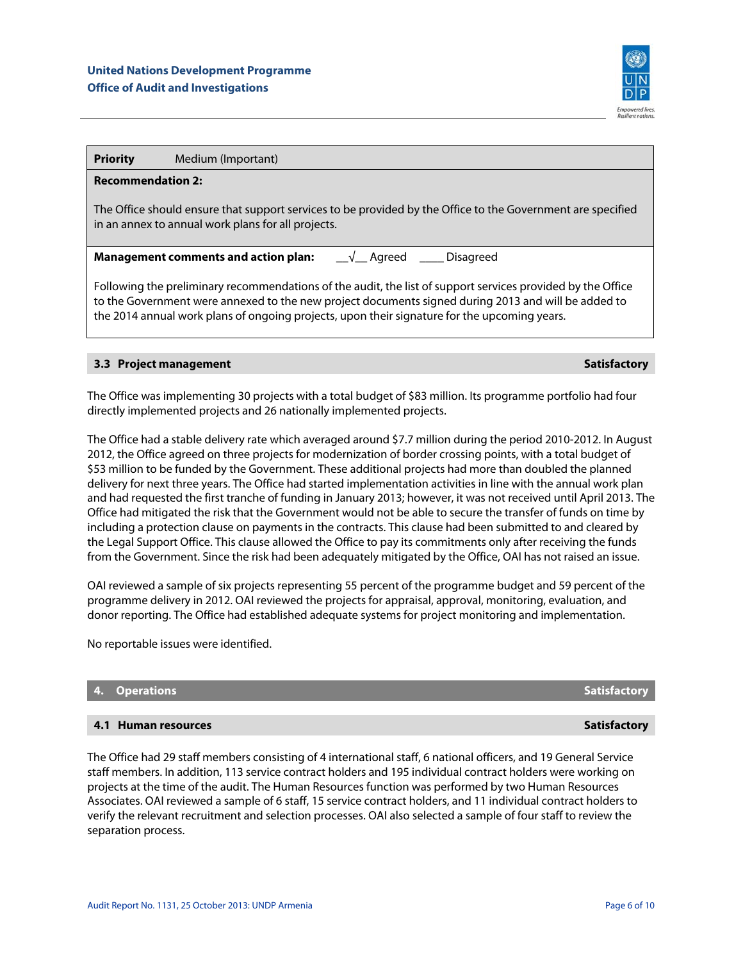

| <b>Recommendation 2:</b>                                                                                                                                                                                                                                                                                           |  |  |  |  |
|--------------------------------------------------------------------------------------------------------------------------------------------------------------------------------------------------------------------------------------------------------------------------------------------------------------------|--|--|--|--|
| The Office should ensure that support services to be provided by the Office to the Government are specified<br>in an annex to annual work plans for all projects.                                                                                                                                                  |  |  |  |  |
| <b>Management comments and action plan:</b><br>√ Agreed<br><b>Disagreed</b>                                                                                                                                                                                                                                        |  |  |  |  |
| Following the preliminary recommendations of the audit, the list of support services provided by the Office<br>to the Government were annexed to the new project documents signed during 2013 and will be added to<br>the 2014 annual work plans of ongoing projects, upon their signature for the upcoming years. |  |  |  |  |
|                                                                                                                                                                                                                                                                                                                    |  |  |  |  |

# **3.3 Project management Satisfactory** Satisfactory

The Office was implementing 30 projects with a total budget of \$83 million. Its programme portfolio had four directly implemented projects and 26 nationally implemented projects.

The Office had a stable delivery rate which averaged around \$7.7 million during the period 2010-2012. In August 2012, the Office agreed on three projects for modernization of border crossing points, with a total budget of \$53 million to be funded by the Government. These additional projects had more than doubled the planned delivery for next three years. The Office had started implementation activities in line with the annual work plan and had requested the first tranche of funding in January 2013; however, it was not received until April 2013. The Office had mitigated the risk that the Government would not be able to secure the transfer of funds on time by including a protection clause on payments in the contracts. This clause had been submitted to and cleared by the Legal Support Office. This clause allowed the Office to pay its commitments only after receiving the funds from the Government. Since the risk had been adequately mitigated by the Office, OAI has not raised an issue.

OAI reviewed a sample of six projects representing 55 percent of the programme budget and 59 percent of the programme delivery in 2012. OAI reviewed the projects for appraisal, approval, monitoring, evaluation, and donor reporting. The Office had established adequate systems for project monitoring and implementation.

No reportable issues were identified.

# **4. Operations Satisfactory** Satisfactory **Satisfactory**

## **4.1 Human resources Satisfactory** Satisfactory

The Office had 29 staff members consisting of 4 international staff, 6 national officers, and 19 General Service staff members. In addition, 113 service contract holders and 195 individual contract holders were working on projects at the time of the audit. The Human Resources function was performed by two Human Resources Associates. OAI reviewed a sample of 6 staff, 15 service contract holders, and 11 individual contract holders to verify the relevant recruitment and selection processes. OAI also selected a sample of four staff to review the separation process.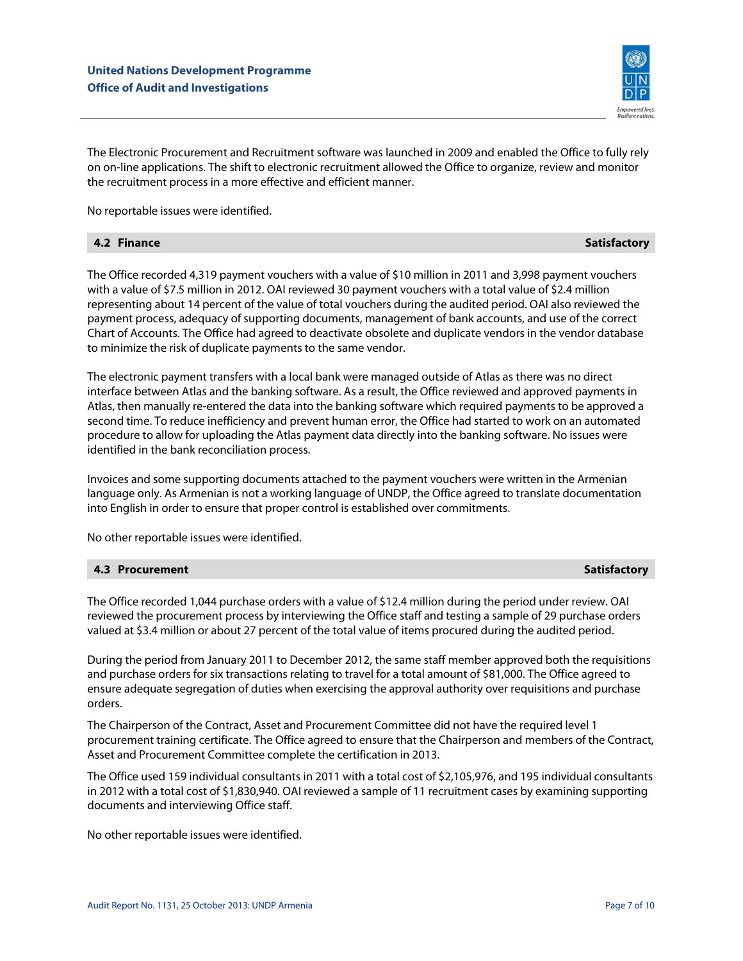

The Electronic Procurement and Recruitment software was launched in 2009 and enabled the Office to fully rely on on-line applications. The shift to electronic recruitment allowed the Office to organize, review and monitor the recruitment process in a more effective and efficient manner.

No reportable issues were identified.

| 4.2 Finance | <b>Satisfactory</b> |
|-------------|---------------------|
|-------------|---------------------|

The Office recorded 4,319 payment vouchers with a value of \$10 million in 2011 and 3,998 payment vouchers with a value of \$7.5 million in 2012. OAI reviewed 30 payment vouchers with a total value of \$2.4 million representing about 14 percent of the value of total vouchers during the audited period. OAI also reviewed the payment process, adequacy of supporting documents, management of bank accounts, and use of the correct Chart of Accounts. The Office had agreed to deactivate obsolete and duplicate vendors in the vendor database to minimize the risk of duplicate payments to the same vendor.

The electronic payment transfers with a local bank were managed outside of Atlas as there was no direct interface between Atlas and the banking software. As a result, the Office reviewed and approved payments in Atlas, then manually re-entered the data into the banking software which required payments to be approved a second time. To reduce inefficiency and prevent human error, the Office had started to work on an automated procedure to allow for uploading the Atlas payment data directly into the banking software. No issues were identified in the bank reconciliation process.

Invoices and some supporting documents attached to the payment vouchers were written in the Armenian language only. As Armenian is not a working language of UNDP, the Office agreed to translate documentation into English in order to ensure that proper control is established over commitments.

No other reportable issues were identified.

# **4.3 Procurement Satisfactory** Satisfactory

The Office recorded 1,044 purchase orders with a value of \$12.4 million during the period under review. OAI reviewed the procurement process by interviewing the Office staff and testing a sample of 29 purchase orders valued at \$3.4 million or about 27 percent of the total value of items procured during the audited period.

During the period from January 2011 to December 2012, the same staff member approved both the requisitions and purchase orders for six transactions relating to travel for a total amount of \$81,000. The Office agreed to ensure adequate segregation of duties when exercising the approval authority over requisitions and purchase orders.

The Chairperson of the Contract, Asset and Procurement Committee did not have the required level 1 procurement training certificate. The Office agreed to ensure that the Chairperson and members of the Contract, Asset and Procurement Committee complete the certification in 2013.

The Office used 159 individual consultants in 2011 with a total cost of \$2,105,976, and 195 individual consultants in 2012 with a total cost of \$1,830,940. OAI reviewed a sample of 11 recruitment cases by examining supporting documents and interviewing Office staff.

No other reportable issues were identified.

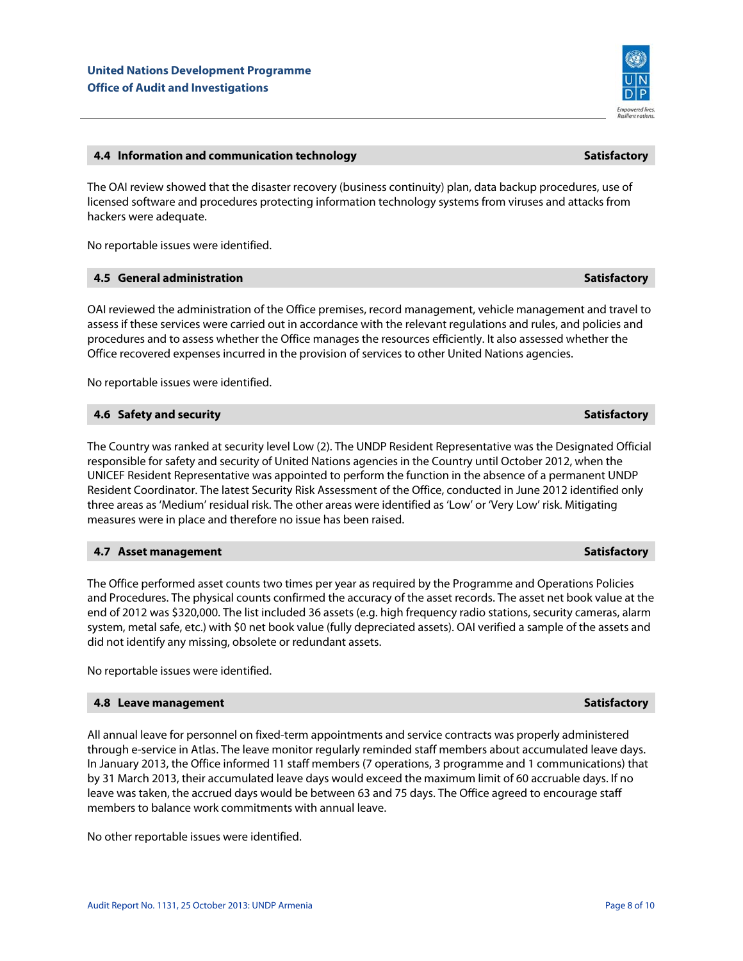# **4.4 Information and communication technology Satisfactory**

The OAI review showed that the disaster recovery (business continuity) plan, data backup procedures, use of licensed software and procedures protecting information technology systems from viruses and attacks from hackers were adequate.

No reportable issues were identified.

# **4.5 General administration Satisfactory**

OAI reviewed the administration of the Office premises, record management, vehicle management and travel to assess if these services were carried out in accordance with the relevant regulations and rules, and policies and procedures and to assess whether the Office manages the resources efficiently. It also assessed whether the Office recovered expenses incurred in the provision of services to other United Nations agencies.

No reportable issues were identified.

# **4.6 Safety and security Satisfactory** Satisfactory Satisfactory

The Country was ranked at security level Low (2). The UNDP Resident Representative was the Designated Official responsible for safety and security of United Nations agencies in the Country until October 2012, when the UNICEF Resident Representative was appointed to perform the function in the absence of a permanent UNDP Resident Coordinator. The latest Security Risk Assessment of the Office, conducted in June 2012 identified only three areas as 'Medium' residual risk. The other areas were identified as 'Low' or 'Very Low' risk. Mitigating measures were in place and therefore no issue has been raised.

# **4.7 Asset management Satisfactory** Satisfactory

The Office performed asset counts two times per year as required by the Programme and Operations Policies and Procedures. The physical counts confirmed the accuracy of the asset records. The asset net book value at the end of 2012 was \$320,000. The list included 36 assets (e.g. high frequency radio stations, security cameras, alarm system, metal safe, etc.) with \$0 net book value (fully depreciated assets). OAI verified a sample of the assets and did not identify any missing, obsolete or redundant assets.

No reportable issues were identified.

# **4.8 Leave management contract of the same of the same of the same of the same of the Satisfactory**

All annual leave for personnel on fixed-term appointments and service contracts was properly administered through e-service in Atlas. The leave monitor regularly reminded staff members about accumulated leave days. In January 2013, the Office informed 11 staff members (7 operations, 3 programme and 1 communications) that by 31 March 2013, their accumulated leave days would exceed the maximum limit of 60 accruable days. If no leave was taken, the accrued days would be between 63 and 75 days. The Office agreed to encourage staff members to balance work commitments with annual leave.

No other reportable issues were identified.

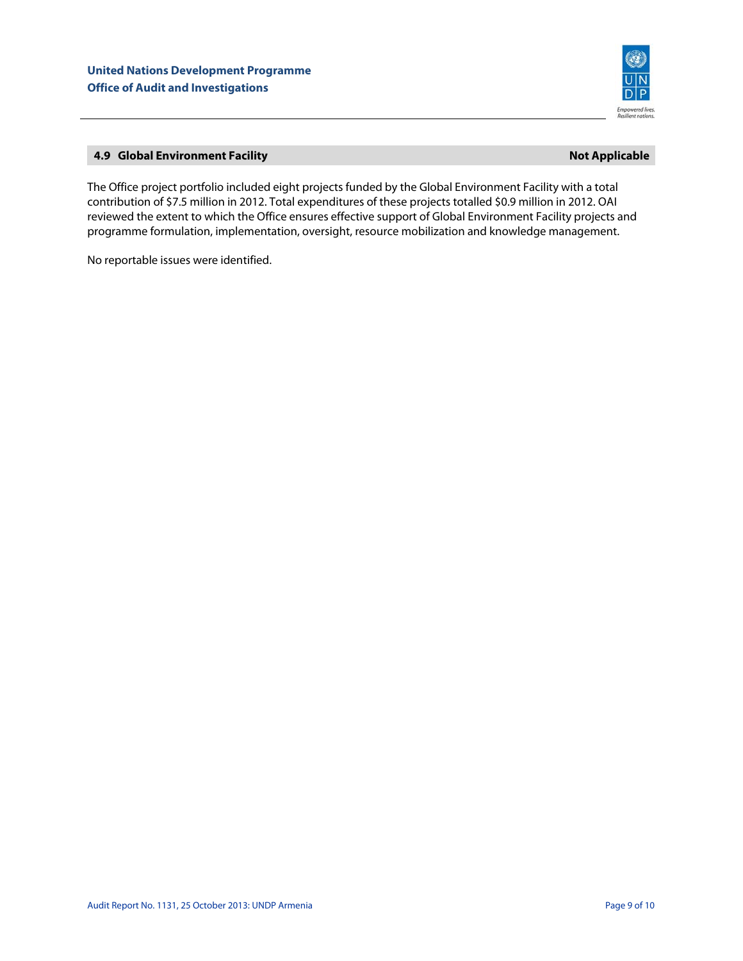

# **4.9 Global Environment Facility Alternation Community Community Community Community Community Community Community**

The Office project portfolio included eight projects funded by the Global Environment Facility with a total contribution of \$7.5 million in 2012. Total expenditures of these projects totalled \$0.9 million in 2012. OAI reviewed the extent to which the Office ensures effective support of Global Environment Facility projects and programme formulation, implementation, oversight, resource mobilization and knowledge management.

No reportable issues were identified.